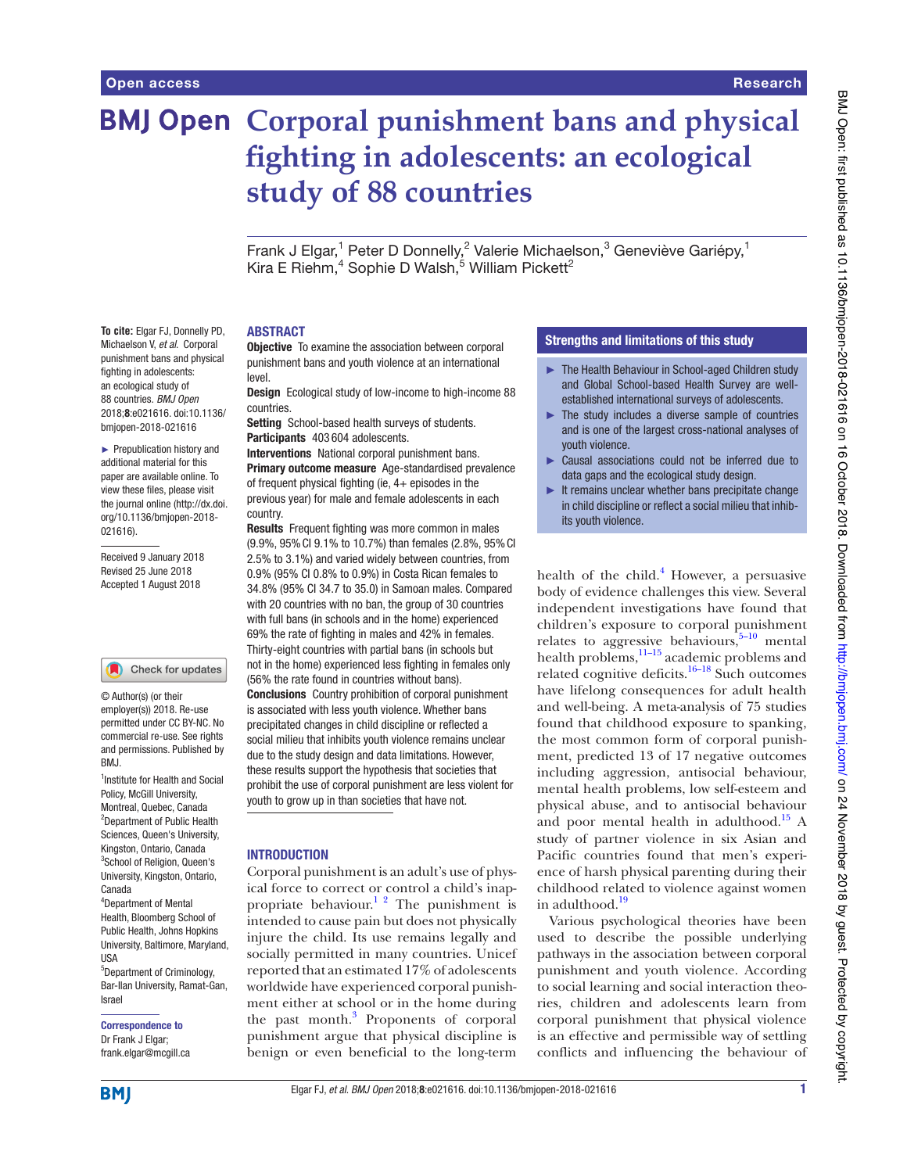# **BMJ Open Corporal punishment bans and physical fghting in adolescents: an ecological study of 88 countries**

Frank J Elgar,<sup>1</sup> Peter D Donnelly,<sup>2</sup> Valerie Michaelson,<sup>3</sup> Geneviève Gariépy,<sup>1</sup> Kira E Riehm, $4$  Sophie D Walsh, $5$  William Pickett<sup>2</sup>

#### ABSTRACT

Objective To examine the association between corporal punishment bans and youth violence at an international level.

Design Ecological study of low-income to high-income 88 countries.

Setting School-based health surveys of students. Participants 403 604 adolescents.

Interventions National corporal punishment bans. Primary outcome measure Age-standardised prevalence of frequent physical fighting (ie,  $4+$  episodes in the previous year) for male and female adolescents in each country.

Results Frequent fighting was more common in males (9.9%, 95%CI 9.1% to 10.7%) than females (2.8%, 95%CI 2.5% to 3.1%) and varied widely between countries, from 0.9% (95% CI 0.8% to 0.9%) in Costa Rican females to 34.8% (95% CI 34.7 to 35.0) in Samoan males. Compared with 20 countries with no ban, the group of 30 countries with full bans (in schools and in the home) experienced 69% the rate of fghting in males and 42% in females. Thirty-eight countries with partial bans (in schools but not in the home) experienced less fghting in females only (56% the rate found in countries without bans). Conclusions Country prohibition of corporal punishment is associated with less youth violence. Whether bans precipitated changes in child discipline or refected a social milieu that inhibits youth violence remains unclear due to the study design and data limitations. However, these results support the hypothesis that societies that prohibit the use of corporal punishment are less violent for youth to grow up in than societies that have not.

#### INTRODUCTION

Corporal punishment is an adult's use of physical force to correct or control a child's inappropriate behaviour.<sup>12</sup> The punishment is intended to cause pain but does not physically injure the child. Its use remains legally and socially permitted in many countries. Unicef reported that an estimated 17% of adolescents worldwide have experienced corporal punishment either at school or in the home during the past month.<sup>3</sup> Proponents of corporal punishment argue that physical discipline is benign or even beneficial to the long-term

## Strengths and limitations of this study

- ► The Health Behaviour in School-aged Children study and Global School-based Health Survey are wellestablished international surveys of adolescents.
- ► The study includes a diverse sample of countries and is one of the largest cross-national analyses of youth violence.
- Causal associations could not be inferred due to data gaps and the ecological study design.
- It remains unclear whether bans precipitate change in child discipline or refect a social milieu that inhibits youth violence.

health of the child.<sup>4</sup> However, a persuasive body of evidence challenges this view. Several independent investigations have found that children's exposure to corporal punishment relates to aggressive behaviours, $5-10$  mental health problems,  $11-15$  academic problems and related cognitive deficits.<sup>16-18</sup> Such outcomes have lifelong consequences for adult health and well-being. A meta-analysis of 75 studies found that childhood exposure to spanking, the most common form of corporal punishment, predicted 13 of 17 negative outcomes including aggression, antisocial behaviour, mental health problems, low self-esteem and physical abuse, and to antisocial behaviour and poor mental health in adulthood.<sup>15</sup> A study of partner violence in six Asian and Pacific countries found that men's experience of harsh physical parenting during their childhood related to violence against women in adulthood.<sup>19</sup>

Various psychological theories have been used to describe the possible underlying pathways in the association between corporal punishment and youth violence. According to social learning and social interaction theories, children and adolescents learn from corporal punishment that physical violence is an effective and permissible way of settling conflicts and influencing the behaviour of

88 countries. *BMJ Open* 2018;8:e021616. doi:10.1136/ bmjopen-2018-021616 ► Prepublication history and additional material for this

**To cite:** Elgar FJ, Donnelly PD, Michaelson V, *et al*. Corporal punishment bans and physical fighting in adolescents: an ecological study of

paper are available online. To view these fles, please visit the journal online [\(http://dx.doi.](http://dx.doi.org/10.1136/bmjopen-2018-021616) [org/10.1136/bmjopen-2018-](http://dx.doi.org/10.1136/bmjopen-2018-021616) [021616](http://dx.doi.org/10.1136/bmjopen-2018-021616)).

Received 9 January 2018 Revised 25 June 2018 Accepted 1 August 2018

# Check for updates

© Author(s) (or their employer(s)) 2018. Re-use permitted under CC BY-NC. No commercial re-use. See rights and permissions. Published by **BMJ** 

<sup>1</sup> Institute for Health and Social Policy, McGill University, Montreal, Quebec, Canada <sup>2</sup>Department of Public Health Sciences, Queen's University, Kingston, Ontario, Canada <sup>3</sup>School of Religion, Queen's University, Kingston, Ontario, Canada 4 Department of Mental

Health, Bloomberg School of Public Health, Johns Hopkins University, Baltimore, Maryland, **IISA** 5 Department of Criminology,

Bar-Ilan University, Ramat-Gan, Israel

Correspondence to Dr Frank J Elgar; frank.elgar@mcgill.ca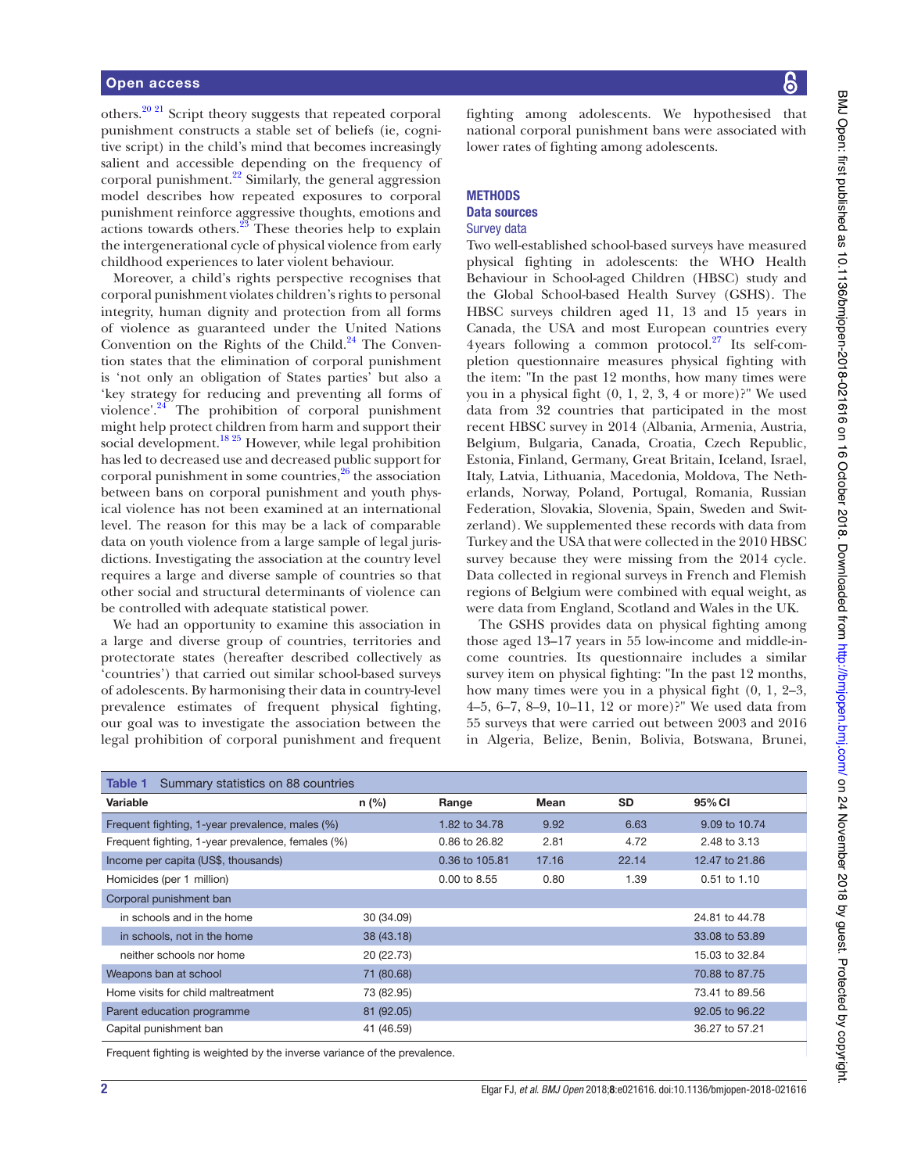others.20 21 Script theory suggests that repeated corporal punishment constructs a stable set of beliefs (ie, cognitive script) in the child's mind that becomes increasingly salient and accessible depending on the frequency of corporal punishment. $^{22}$  Similarly, the general aggression model describes how repeated exposures to corporal punishment reinforce aggressive thoughts, emotions and actions towards others. $23$  These theories help to explain the intergenerational cycle of physical violence from early childhood experiences to later violent behaviour.

Moreover, a child's rights perspective recognises that corporal punishment violates children's rights to personal integrity, human dignity and protection from all forms of violence as guaranteed under the United Nations Convention on the Rights of the Child. $^{24}$  The Convention states that the elimination of corporal punishment is 'not only an obligation of States parties' but also a 'key strategy for reducing and preventing all forms of violence'<sup>24</sup>. The prohibition of corporal punishment might help protect children from harm and support their social development.<sup>18 25</sup> However, while legal prohibition has led to decreased use and decreased public support for corporal punishment in some countries, $26$  the association between bans on corporal punishment and youth physical violence has not been examined at an international level. The reason for this may be a lack of comparable data on youth violence from a large sample of legal jurisdictions. Investigating the association at the country level requires a large and diverse sample of countries so that other social and structural determinants of violence can be controlled with adequate statistical power.

We had an opportunity to examine this association in a large and diverse group of countries, territories and protectorate states (hereafter described collectively as 'countries') that carried out similar school-based surveys of adolescents. By harmonising their data in country-level prevalence estimates of frequent physical fighting, our goal was to investigate the association between the legal prohibition of corporal punishment and frequent 6

BMJ Open: \$11318 by guest. Protected by copyright. Part as the 2018 by details in the copyright. Download as 10.1136/bm back as 10.1136/bmjopen-2018-0216. Download as 10.1136/bmjopen-2018. Download by the cocopyright. Down

BMJ Open: first published as 10.1136/bmjopen-2018-021616-2018 on 16 October 2018. Downloaded from http://bmjopen.bmj.com/ on 24 November 2018 by guest. Protected by copyright

fighting among adolescents. We hypothesised that national corporal punishment bans were associated with lower rates of fighting among adolescents.

## **METHODS** Data sources

# Survey data

Two well-established school-based surveys have measured physical fighting in adolescents: the WHO Health Behaviour in School-aged Children (HBSC) study and the Global School-based Health Survey (GSHS). The HBSC surveys children aged 11, 13 and 15 years in Canada, the USA and most European countries every 4 years following a common protocol.<sup>27</sup> Its self-completion questionnaire measures physical fighting with the item: "In the past 12 months, how many times were you in a physical fight (0, 1, 2, 3, 4 or more)?" We used data from 32 countries that participated in the most recent HBSC survey in 2014 (Albania, Armenia, Austria, Belgium, Bulgaria, Canada, Croatia, Czech Republic, Estonia, Finland, Germany, Great Britain, Iceland, Israel, Italy, Latvia, Lithuania, Macedonia, Moldova, The Netherlands, Norway, Poland, Portugal, Romania, Russian Federation, Slovakia, Slovenia, Spain, Sweden and Switzerland). We supplemented these records with data from Turkey and the USA that were collected in the 2010 HBSC survey because they were missing from the 2014 cycle. Data collected in regional surveys in French and Flemish regions of Belgium were combined with equal weight, as were data from England, Scotland and Wales in the UK.

The GSHS provides data on physical fighting among those aged 13–17 years in 55 low-income and middle-income countries. Its questionnaire includes a similar survey item on physical fighting: "In the past 12 months, how many times were you in a physical fight (0, 1, 2–3, 4–5, 6–7, 8–9, 10–11, 12 or more)?" We used data from 55 surveys that were carried out between 2003 and 2016 in Algeria, Belize, Benin, Bolivia, Botswana, Brunei,

| Summary statistics on 88 countries<br>Table 1     |            |                |             |           |                  |  |
|---------------------------------------------------|------------|----------------|-------------|-----------|------------------|--|
| Variable                                          | n (%)      | Range          | <b>Mean</b> | <b>SD</b> | 95% CI           |  |
| Frequent fighting, 1-year prevalence, males (%)   |            | 1.82 to 34.78  | 9.92        | 6.63      | 9.09 to 10.74    |  |
| Frequent fighting, 1-year prevalence, females (%) |            | 0.86 to 26.82  | 2.81        | 4.72      | 2.48 to 3.13     |  |
| Income per capita (US\$, thousands)               |            | 0.36 to 105.81 | 17.16       | 22.14     | 12.47 to 21.86   |  |
| Homicides (per 1 million)                         |            | 0.00 to 8.55   | 0.80        | 1.39      | $0.51$ to $1.10$ |  |
| Corporal punishment ban                           |            |                |             |           |                  |  |
| in schools and in the home                        | 30 (34.09) |                |             |           | 24.81 to 44.78   |  |
| in schools, not in the home                       | 38 (43.18) |                |             |           | 33.08 to 53.89   |  |
| neither schools nor home                          | 20 (22.73) |                |             |           | 15.03 to 32.84   |  |
| Weapons ban at school                             | 71 (80.68) |                |             |           | 70.88 to 87.75   |  |
| Home visits for child maltreatment                | 73 (82.95) |                |             |           | 73.41 to 89.56   |  |
| Parent education programme                        | 81 (92.05) |                |             |           | 92,05 to 96.22   |  |
| Capital punishment ban                            | 41 (46.59) |                |             |           | 36.27 to 57.21   |  |

Frequent fghting is weighted by the inverse variance of the prevalence.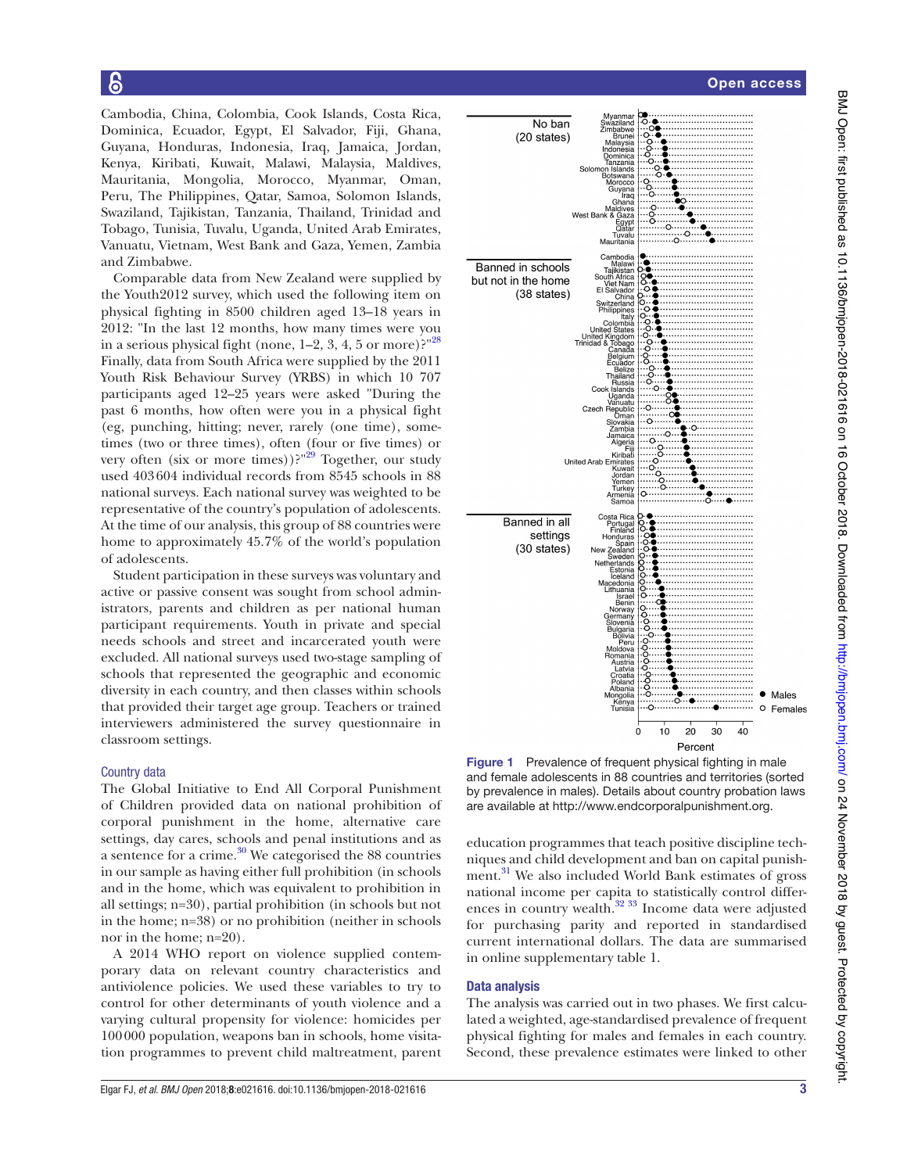Cambodia, China, Colombia, Cook Islands, Costa Rica, Dominica, Ecuador, Egypt, El Salvador, Fiji, Ghana, Guyana, Honduras, Indonesia, Iraq, Jamaica, Jordan, Kenya, Kiribati, Kuwait, Malawi, Malaysia, Maldives, Mauritania, Mongolia, Morocco, Myanmar, Oman, Peru, The Philippines, Qatar, Samoa, Solomon Islands, Swaziland, Tajikistan, Tanzania, Thailand, Trinidad and Tobago, Tunisia, Tuvalu, Uganda, United Arab Emirates, Vanuatu, Vietnam, West Bank and Gaza, Yemen, Zambia and Zimbabwe.

Comparable data from New Zealand were supplied by the Youth2012 survey, which used the following item on physical fighting in 8500 children aged 13–18 years in 2012: "In the last 12 months, how many times were you in a serious physical fight (none,  $1-2$ , 3, 4, 5 or more)?"<sup>28</sup> Finally, data from South Africa were supplied by the 2011 Youth Risk Behaviour Survey (YRBS) in which 10 707 participants aged 12–25 years were asked "During the past 6 months, how often were you in a physical fight (eg, punching, hitting; never, rarely (one time), sometimes (two or three times), often (four or five times) or very often (six or more times))?"<sup>29</sup> Together, our study used 403604 individual records from 8545 schools in 88 national surveys. Each national survey was weighted to be representative of the country's population of adolescents. At the time of our analysis, this group of 88 countries were home to approximately 45.7% of the world's population of adolescents.

Student participation in these surveys was voluntary and active or passive consent was sought from school administrators, parents and children as per national human participant requirements. Youth in private and special needs schools and street and incarcerated youth were excluded. All national surveys used two-stage sampling of schools that represented the geographic and economic diversity in each country, and then classes within schools that provided their target age group. Teachers or trained interviewers administered the survey questionnaire in classroom settings.

#### Country data

The Global Initiative to End All Corporal Punishment of Children provided data on national prohibition of corporal punishment in the home, alternative care settings, day cares, schools and penal institutions and as a sentence for a crime.<sup>30</sup> We categorised the 88 countries in our sample as having either full prohibition (in schools and in the home, which was equivalent to prohibition in all settings; n=30), partial prohibition (in schools but not in the home; n=38) or no prohibition (neither in schools nor in the home; n=20).

A 2014 WHO report on violence supplied contemporary data on relevant country characteristics and antiviolence policies. We used these variables to try to control for other determinants of youth violence and a varying cultural propensity for violence: homicides per 100000 population, weapons ban in schools, home visitation programmes to prevent child maltreatment, parent



Figure 1 Prevalence of frequent physical fighting in male and female adolescents in 88 countries and territories (sorted by prevalence in males). Details about country probation laws are available at [http://www.endcorporalpunishment.org.](http://www.endcorporalpunishment.org)

education programmes that teach positive discipline techniques and child development and ban on capital punishment.<sup>31</sup> We also included World Bank estimates of gross national income per capita to statistically control differences in country wealth.<sup>32</sup> <sup>33</sup> Income data were adjusted for purchasing parity and reported in standardised current international dollars. The data are summarised in online [supplementary table 1.](https://dx.doi.org/10.1136/bmjopen-2018-021616)

#### Data analysis

The analysis was carried out in two phases. We first calculated a weighted, age-standardised prevalence of frequent physical fighting for males and females in each country. Second, these prevalence estimates were linked to other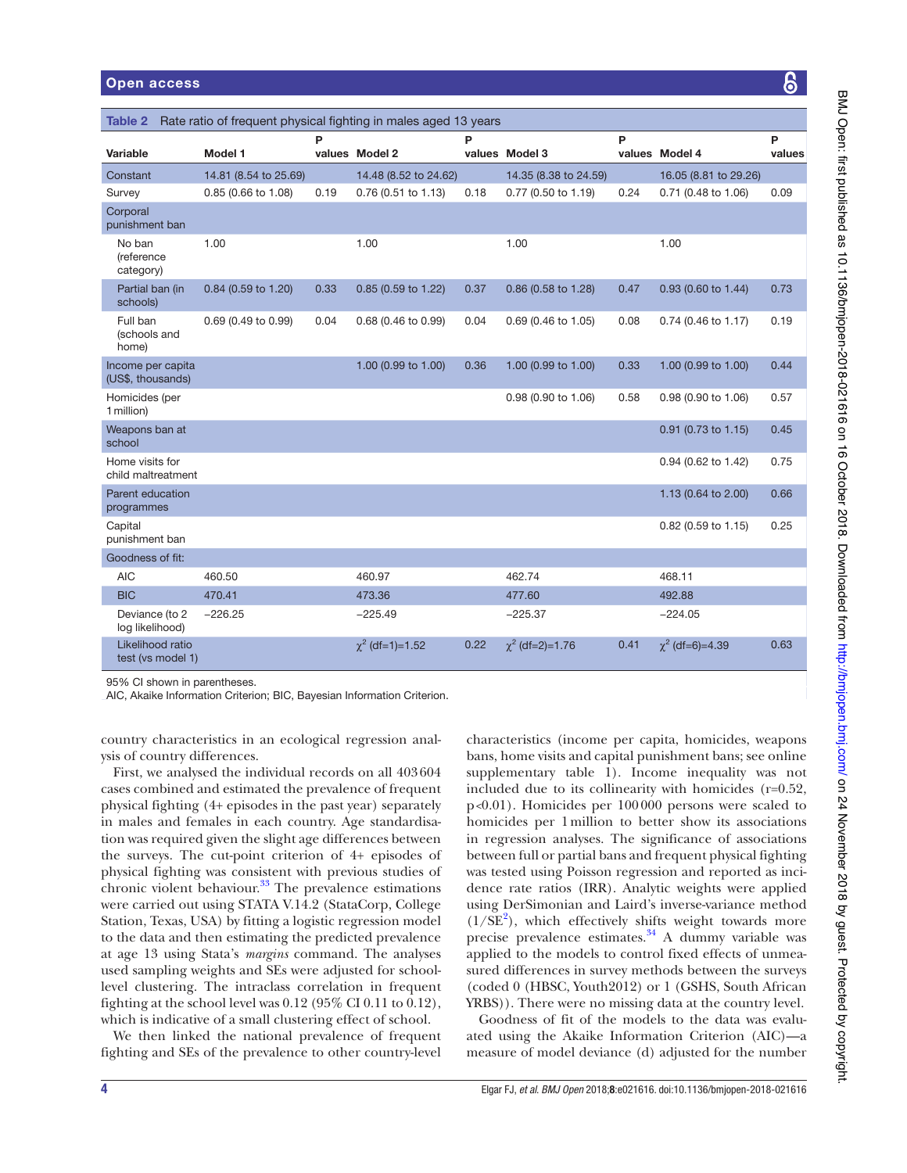| Rate ratio of frequent physical fighting in males aged 13 years<br>Table 2 |                       |      |                        |      |                        |      |                        |             |  |  |
|----------------------------------------------------------------------------|-----------------------|------|------------------------|------|------------------------|------|------------------------|-------------|--|--|
| Variable                                                                   | Model 1               | P    | values Model 2         | Þ    | values Model 3         | P    | values Model 4         | P<br>values |  |  |
| Constant                                                                   | 14.81 (8.54 to 25.69) |      | 14.48 (8.52 to 24.62)  |      | 14.35 (8.38 to 24.59)  |      | 16.05 (8.81 to 29.26)  |             |  |  |
| Survey                                                                     | 0.85 (0.66 to 1.08)   | 0.19 | 0.76 (0.51 to 1.13)    | 0.18 | 0.77 (0.50 to 1.19)    | 0.24 | 0.71 (0.48 to 1.06)    | 0.09        |  |  |
| Corporal<br>punishment ban                                                 |                       |      |                        |      |                        |      |                        |             |  |  |
| No ban<br>(reference<br>category)                                          | 1.00                  |      | 1.00                   |      | 1.00                   |      | 1.00                   |             |  |  |
| Partial ban (in<br>schools)                                                | 0.84 (0.59 to 1.20)   | 0.33 | 0.85 (0.59 to 1.22)    | 0.37 | 0.86 (0.58 to 1.28)    | 0.47 | 0.93 (0.60 to 1.44)    | 0.73        |  |  |
| Full ban<br>(schools and<br>home)                                          | 0.69 (0.49 to 0.99)   | 0.04 | 0.68 (0.46 to 0.99)    | 0.04 | 0.69 (0.46 to 1.05)    | 0.08 | 0.74 (0.46 to 1.17)    | 0.19        |  |  |
| Income per capita<br>(US\$, thousands)                                     |                       |      | 1.00 (0.99 to 1.00)    | 0.36 | 1.00 (0.99 to 1.00)    | 0.33 | 1.00 (0.99 to 1.00)    | 0.44        |  |  |
| Homicides (per<br>1 million)                                               |                       |      |                        |      | 0.98 (0.90 to 1.06)    | 0.58 | 0.98 (0.90 to 1.06)    | 0.57        |  |  |
| Weapons ban at<br>school                                                   |                       |      |                        |      |                        |      | 0.91 (0.73 to 1.15)    | 0.45        |  |  |
| Home visits for<br>child maltreatment                                      |                       |      |                        |      |                        |      | 0.94 (0.62 to 1.42)    | 0.75        |  |  |
| Parent education<br>programmes                                             |                       |      |                        |      |                        |      | 1.13 (0.64 to 2.00)    | 0.66        |  |  |
| Capital<br>punishment ban                                                  |                       |      |                        |      |                        |      | 0.82 (0.59 to 1.15)    | 0.25        |  |  |
| Goodness of fit:                                                           |                       |      |                        |      |                        |      |                        |             |  |  |
| <b>AIC</b>                                                                 | 460.50                |      | 460.97                 |      | 462.74                 |      | 468.11                 |             |  |  |
| <b>BIC</b>                                                                 | 470.41                |      | 473.36                 |      | 477.60                 |      | 492.88                 |             |  |  |
| Deviance (to 2<br>log likelihood)                                          | $-226.25$             |      | $-225.49$              |      | $-225.37$              |      | $-224.05$              |             |  |  |
| Likelihood ratio<br>test (vs model 1)                                      |                       |      | $\gamma^2$ (df=1)=1.52 | 0.22 | $\gamma^2$ (df=2)=1.76 | 0.41 | $\gamma^2$ (df=6)=4.39 | 0.63        |  |  |

95% CI shown in parentheses.

AIC, Akaike Information Criterion; BIC, Bayesian Information Criterion.

country characteristics in an ecological regression analysis of country differences.

First, we analysed the individual records on all 403604 cases combined and estimated the prevalence of frequent physical fighting (4+ episodes in the past year) separately in males and females in each country. Age standardisation was required given the slight age differences between the surveys. The cut-point criterion of 4+ episodes of physical fighting was consistent with previous studies of chronic violent behaviour. $33$  The prevalence estimations were carried out using STATA V.14.2 (StataCorp, College Station, Texas, USA) by fitting a logistic regression model to the data and then estimating the predicted prevalence at age 13 using Stata's *margins* command. The analyses used sampling weights and SEs were adjusted for schoollevel clustering. The intraclass correlation in frequent fighting at the school level was 0.12 (95% CI 0.11 to 0.12), which is indicative of a small clustering effect of school.

We then linked the national prevalence of frequent fighting and SEs of the prevalence to other country-level characteristics (income per capita, homicides, weapons bans, home visits and capital punishment bans; see online [supplementary table 1](https://dx.doi.org/10.1136/bmjopen-2018-021616)). Income inequality was not included due to its collinearity with homicides (r=0.52, p*<*0.01). Homicides per 100000 persons were scaled to homicides per 1million to better show its associations in regression analyses. The significance of associations between full or partial bans and frequent physical fighting was tested using Poisson regression and reported as incidence rate ratios (IRR). Analytic weights were applied using DerSimonian and Laird's inverse-variance method  $(1/SE<sup>2</sup>)$ , which effectively shifts weight towards more precise prevalence estimates.<sup>34</sup> A dummy variable was applied to the models to control fixed effects of unmeasured differences in survey methods between the surveys (coded 0 (HBSC, Youth2012) or 1 (GSHS, South African YRBS)). There were no missing data at the country level.

Goodness of fit of the models to the data was evaluated using the Akaike Information Criterion (AIC)—a measure of model deviance (d) adjusted for the number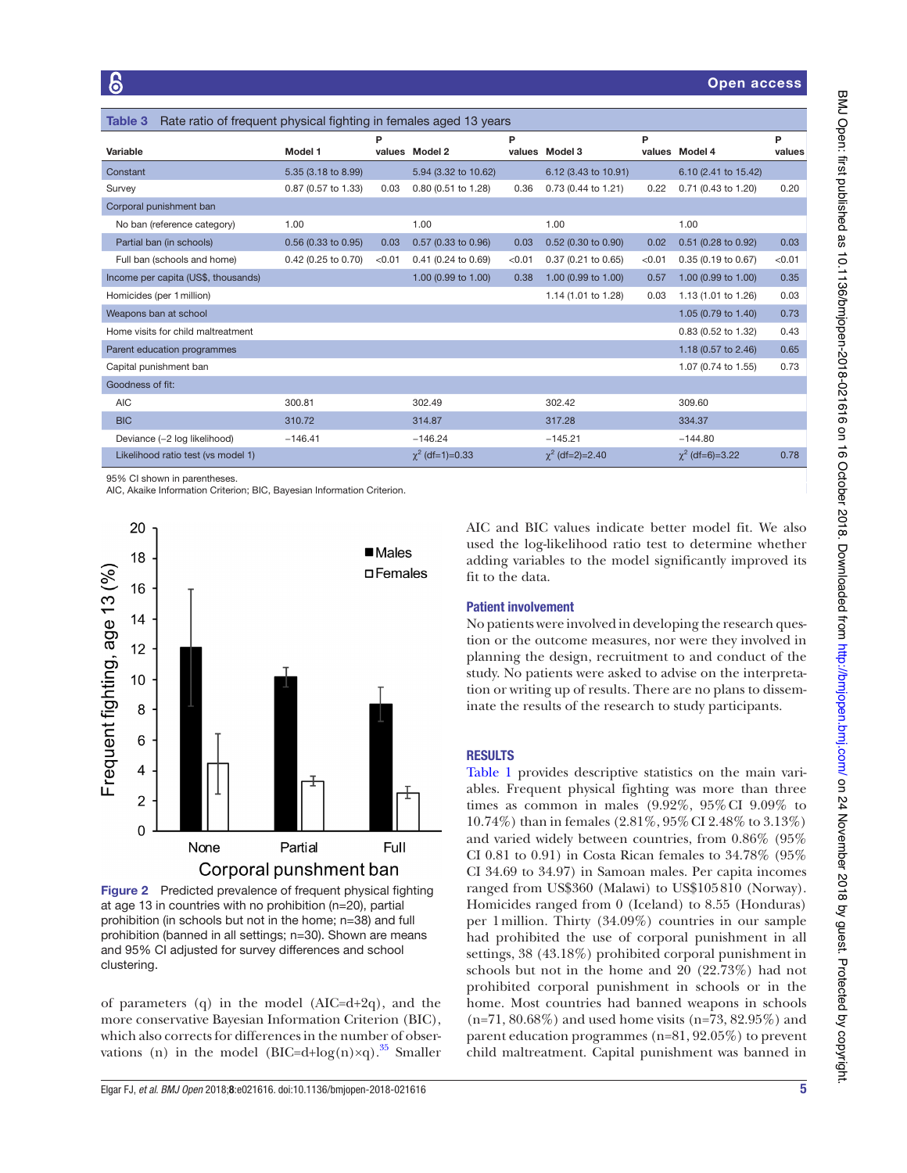| Rate ratio of frequent physical fighting in females aged 13 years<br>Table 3 |                       |        |                        |        |                        |        |                        |             |  |  |
|------------------------------------------------------------------------------|-----------------------|--------|------------------------|--------|------------------------|--------|------------------------|-------------|--|--|
| Variable                                                                     | Model 1               | P      | values Model 2         | P      | values Model 3         | P      | values Model 4         | P<br>values |  |  |
| Constant                                                                     | 5.35 (3.18 to 8.99)   |        | 5.94 (3.32 to 10.62)   |        | 6.12 (3.43 to 10.91)   |        | 6.10 (2.41 to 15.42)   |             |  |  |
| Survey                                                                       | 0.87 (0.57 to 1.33)   | 0.03   | 0.80 (0.51 to 1.28)    | 0.36   | 0.73 (0.44 to 1.21)    | 0.22   | 0.71 (0.43 to 1.20)    | 0.20        |  |  |
| Corporal punishment ban                                                      |                       |        |                        |        |                        |        |                        |             |  |  |
| No ban (reference category)                                                  | 1.00                  |        | 1.00                   |        | 1.00                   |        | 1.00                   |             |  |  |
| Partial ban (in schools)                                                     | $0.56$ (0.33 to 0.95) | 0.03   | $0.57$ (0.33 to 0.96)  | 0.03   | $0.52$ (0.30 to 0.90)  | 0.02   | $0.51$ (0.28 to 0.92)  | 0.03        |  |  |
| Full ban (schools and home)                                                  | 0.42 (0.25 to 0.70)   | < 0.01 | 0.41 (0.24 to 0.69)    | < 0.01 | 0.37 (0.21 to 0.65)    | < 0.01 | 0.35 (0.19 to 0.67)    | < 0.01      |  |  |
| Income per capita (US\$, thousands)                                          |                       |        | 1.00 (0.99 to 1.00)    | 0.38   | 1.00 (0.99 to 1.00)    | 0.57   | 1.00 (0.99 to 1.00)    | 0.35        |  |  |
| Homicides (per 1 million)                                                    |                       |        |                        |        | 1.14 (1.01 to 1.28)    | 0.03   | 1.13 (1.01 to 1.26)    | 0.03        |  |  |
| Weapons ban at school                                                        |                       |        |                        |        |                        |        | 1.05 (0.79 to 1.40)    | 0.73        |  |  |
| Home visits for child maltreatment                                           |                       |        |                        |        |                        |        | 0.83 (0.52 to 1.32)    | 0.43        |  |  |
| Parent education programmes                                                  |                       |        |                        |        |                        |        | 1.18 (0.57 to 2.46)    | 0.65        |  |  |
| Capital punishment ban                                                       |                       |        |                        |        |                        |        | 1.07 (0.74 to 1.55)    | 0.73        |  |  |
| Goodness of fit:                                                             |                       |        |                        |        |                        |        |                        |             |  |  |
| <b>AIC</b>                                                                   | 300.81                |        | 302.49                 |        | 302.42                 |        | 309.60                 |             |  |  |
| <b>BIC</b>                                                                   | 310.72                |        | 314.87                 |        | 317.28                 |        | 334.37                 |             |  |  |
| Deviance (-2 log likelihood)                                                 | $-146.41$             |        | $-146.24$              |        | $-145.21$              |        | $-144.80$              |             |  |  |
| Likelihood ratio test (vs model 1)                                           |                       |        | $\gamma^2$ (df=1)=0.33 |        | $\gamma^2$ (df=2)=2.40 |        | $\gamma^2$ (df=6)=3.22 | 0.78        |  |  |
|                                                                              |                       |        |                        |        |                        |        |                        |             |  |  |

95% CI shown in parentheses.

AIC, Akaike Information Criterion; BIC, Bayesian Information Criterion.



Figure 2 Predicted prevalence of frequent physical fighting at age 13 in countries with no prohibition (n=20), partial prohibition (in schools but not in the home; n=38) and full prohibition (banned in all settings; n=30). Shown are means and 95% CI adjusted for survey differences and school clustering.

of parameters (q) in the model (AIC=d+2q), and the more conservative Bayesian Information Criterion (BIC), which also corrects for differences in the number of observations (n) in the model (BIC=d+log(n)×q).<sup>35</sup> Smaller AIC and BIC values indicate better model fit. We also used the log-likelihood ratio test to determine whether adding variables to the model significantly improved its fit to the data.

#### Patient involvement

No patients were involved in developing the research question or the outcome measures, nor were they involved in planning the design, recruitment to and conduct of the study. No patients were asked to advise on the interpretation or writing up of results. There are no plans to disseminate the results of the research to study participants.

### RESULTS

Table 1 provides descriptive statistics on the main variables. Frequent physical fighting was more than three times as common in males (9.92%, 95%CI 9.09% to 10.74%) than in females (2.81%, 95%CI 2.48% to 3.13%) and varied widely between countries, from 0.86% (95% CI 0.81 to 0.91) in Costa Rican females to 34.78% (95% CI 34.69 to 34.97) in Samoan males. Per capita incomes ranged from US\$360 (Malawi) to US\$105810 (Norway). Homicides ranged from 0 (Iceland) to 8.55 (Honduras) per 1million. Thirty (34.09%) countries in our sample had prohibited the use of corporal punishment in all settings, 38 (43.18%) prohibited corporal punishment in schools but not in the home and 20 (22.73%) had not prohibited corporal punishment in schools or in the home. Most countries had banned weapons in schools  $(n=71, 80.68\%)$  and used home visits  $(n=73, 82.95\%)$  and parent education programmes (n=81, 92.05%) to prevent child maltreatment. Capital punishment was banned in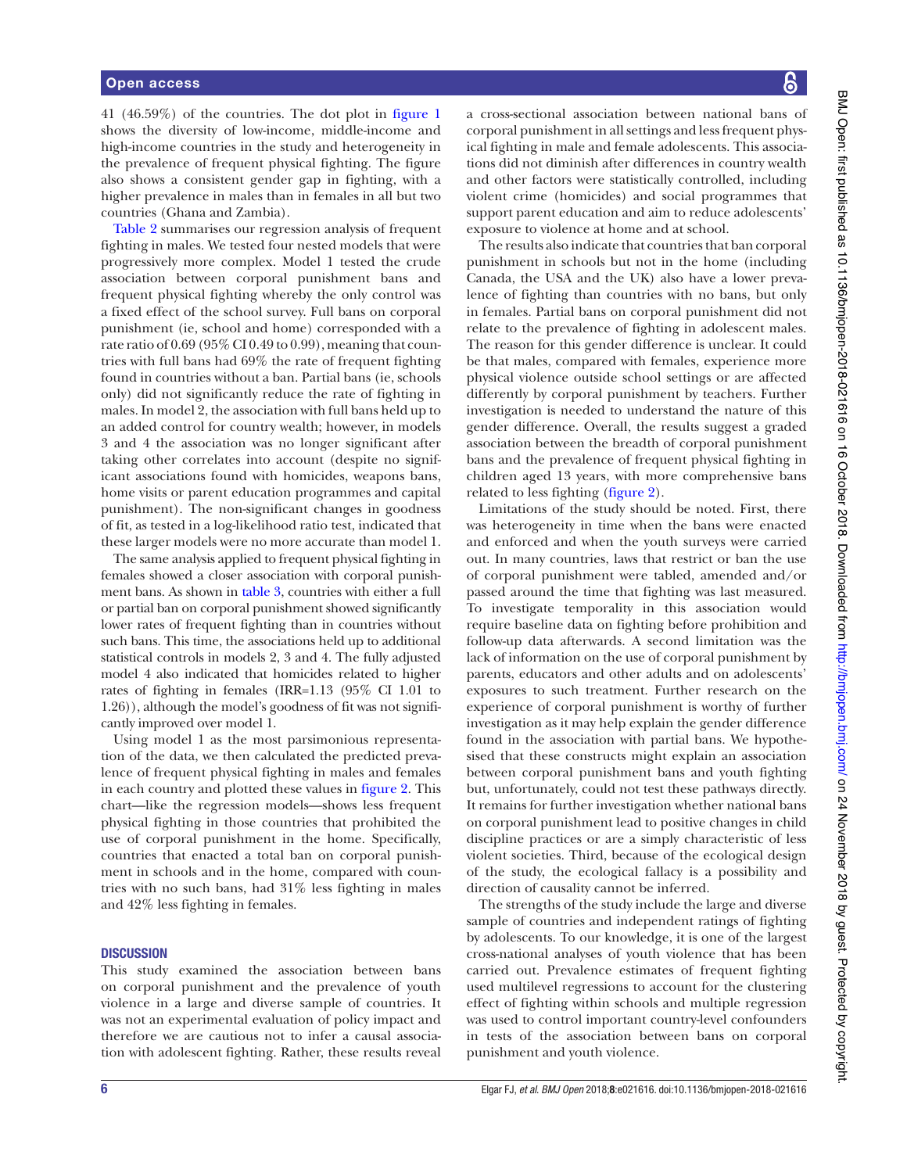41 (46.59%) of the countries. The dot plot in figure 1 shows the diversity of low-income, middle-income and high-income countries in the study and heterogeneity in the prevalence of frequent physical fighting. The figure also shows a consistent gender gap in fighting, with a higher prevalence in males than in females in all but two countries (Ghana and Zambia).

Table 2 summarises our regression analysis of frequent fighting in males. We tested four nested models that were progressively more complex. Model 1 tested the crude association between corporal punishment bans and frequent physical fighting whereby the only control was a fixed effect of the school survey. Full bans on corporal punishment (ie, school and home) corresponded with a rate ratio of 0.69 (95% CI 0.49 to 0.99), meaning that countries with full bans had 69% the rate of frequent fighting found in countries without a ban. Partial bans (ie, schools only) did not significantly reduce the rate of fighting in males. In model 2, the association with full bans held up to an added control for country wealth; however, in models 3 and 4 the association was no longer significant after taking other correlates into account (despite no significant associations found with homicides, weapons bans, home visits or parent education programmes and capital punishment). The non-significant changes in goodness of fit, as tested in a log-likelihood ratio test, indicated that these larger models were no more accurate than model 1.

The same analysis applied to frequent physical fighting in females showed a closer association with corporal punishment bans. As shown in table 3, countries with either a full or partial ban on corporal punishment showed significantly lower rates of frequent fighting than in countries without such bans. This time, the associations held up to additional statistical controls in models 2, 3 and 4. The fully adjusted model 4 also indicated that homicides related to higher rates of fighting in females (IRR=1.13 (95% CI 1.01 to 1.26)), although the model's goodness of fit was not significantly improved over model 1.

Using model 1 as the most parsimonious representation of the data, we then calculated the predicted prevalence of frequent physical fighting in males and females in each country and plotted these values in figure 2. This chart—like the regression models—shows less frequent physical fighting in those countries that prohibited the use of corporal punishment in the home. Specifically, countries that enacted a total ban on corporal punishment in schools and in the home, compared with countries with no such bans, had 31% less fighting in males and 42% less fighting in females.

#### **DISCUSSION**

This study examined the association between bans on corporal punishment and the prevalence of youth violence in a large and diverse sample of countries. It was not an experimental evaluation of policy impact and therefore we are cautious not to infer a causal association with adolescent fighting. Rather, these results reveal

a cross-sectional association between national bans of corporal punishment in all settings and less frequent physical fighting in male and female adolescents. This associations did not diminish after differences in country wealth and other factors were statistically controlled, including violent crime (homicides) and social programmes that support parent education and aim to reduce adolescents' exposure to violence at home and at school.

The results also indicate that countries that ban corporal punishment in schools but not in the home (including Canada, the USA and the UK) also have a lower prevalence of fighting than countries with no bans, but only in females. Partial bans on corporal punishment did not relate to the prevalence of fighting in adolescent males. The reason for this gender difference is unclear. It could be that males, compared with females, experience more physical violence outside school settings or are affected differently by corporal punishment by teachers. Further investigation is needed to understand the nature of this gender difference. Overall, the results suggest a graded association between the breadth of corporal punishment bans and the prevalence of frequent physical fighting in children aged 13 years, with more comprehensive bans related to less fighting (figure 2).

Limitations of the study should be noted. First, there was heterogeneity in time when the bans were enacted and enforced and when the youth surveys were carried out. In many countries, laws that restrict or ban the use of corporal punishment were tabled, amended and/or passed around the time that fighting was last measured. To investigate temporality in this association would require baseline data on fighting before prohibition and follow-up data afterwards. A second limitation was the lack of information on the use of corporal punishment by parents, educators and other adults and on adolescents' exposures to such treatment. Further research on the experience of corporal punishment is worthy of further investigation as it may help explain the gender difference found in the association with partial bans. We hypothesised that these constructs might explain an association between corporal punishment bans and youth fighting but, unfortunately, could not test these pathways directly. It remains for further investigation whether national bans on corporal punishment lead to positive changes in child discipline practices or are a simply characteristic of less violent societies. Third, because of the ecological design of the study, the ecological fallacy is a possibility and direction of causality cannot be inferred.

The strengths of the study include the large and diverse sample of countries and independent ratings of fighting by adolescents. To our knowledge, it is one of the largest cross-national analyses of youth violence that has been carried out. Prevalence estimates of frequent fighting used multilevel regressions to account for the clustering effect of fighting within schools and multiple regression was used to control important country-level confounders in tests of the association between bans on corporal punishment and youth violence.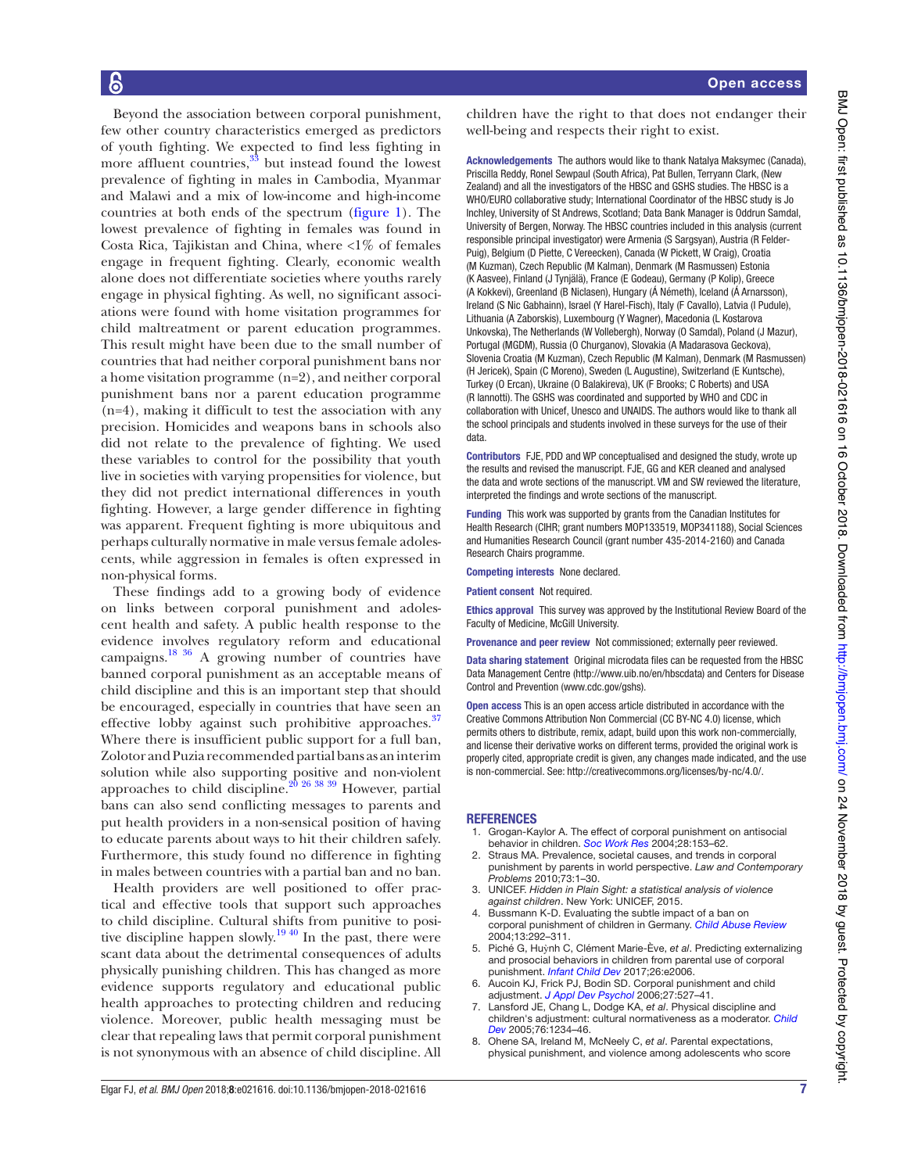Beyond the association between corporal punishment, few other country characteristics emerged as predictors of youth fighting. We expected to find less fighting in more affluent countries, $33$  but instead found the lowest prevalence of fighting in males in Cambodia, Myanmar and Malawi and a mix of low-income and high-income countries at both ends of the spectrum (figure 1). The lowest prevalence of fighting in females was found in Costa Rica, Tajikistan and China, where  $\langle 1\% \rangle$  of females engage in frequent fighting. Clearly, economic wealth alone does not differentiate societies where youths rarely engage in physical fighting. As well, no significant associations were found with home visitation programmes for child maltreatment or parent education programmes. This result might have been due to the small number of countries that had neither corporal punishment bans nor a home visitation programme (n=2), and neither corporal punishment bans nor a parent education programme (n=4), making it difficult to test the association with any precision. Homicides and weapons bans in schools also did not relate to the prevalence of fighting. We used these variables to control for the possibility that youth live in societies with varying propensities for violence, but they did not predict international differences in youth fighting. However, a large gender difference in fighting was apparent. Frequent fighting is more ubiquitous and perhaps culturally normative in male versus female adolescents, while aggression in females is often expressed in non-physical forms. These findings add to a growing body of evidence

on links between corporal punishment and adolescent health and safety. A public health response to the evidence involves regulatory reform and educational campaigns.18 36 A growing number of countries have banned corporal punishment as an acceptable means of child discipline and this is an important step that should be encouraged, especially in countries that have seen an effective lobby against such prohibitive approaches.<sup>37</sup> Where there is insufficient public support for a full ban, Zolotor and Puzia recommended partial bans as an interim solution while also supporting positive and non-violent approaches to child discipline.<sup>20</sup>  $26\frac{38\frac{39}{39}}{100}$  However, partial bans can also send conflicting messages to parents and put health providers in a non-sensical position of having to educate parents about ways to hit their children safely. Furthermore, this study found no difference in fighting in males between countries with a partial ban and no ban.

Health providers are well positioned to offer practical and effective tools that support such approaches to child discipline. Cultural shifts from punitive to positive discipline happen slowly.<sup>19 40</sup> In the past, there were scant data about the detrimental consequences of adults physically punishing children. This has changed as more evidence supports regulatory and educational public health approaches to protecting children and reducing violence. Moreover, public health messaging must be clear that repealing laws that permit corporal punishment is not synonymous with an absence of child discipline. All children have the right to that does not endanger their well-being and respects their right to exist.

Acknowledgements The authors would like to thank Natalya Maksymec (Canada), Priscilla Reddy, Ronel Sewpaul (South Africa), Pat Bullen, Terryann Clark, (New Zealand) and all the investigators of the HBSC and GSHS studies. The HBSC is a WHO/EURO collaborative study; International Coordinator of the HBSC study is Jo Inchley, University of St Andrews, Scotland; Data Bank Manager is Oddrun Samdal, University of Bergen, Norway. The HBSC countries included in this analysis (current responsible principal investigator) were Armenia (S Sargsyan), Austria (R Felder-Puig), Belgium (D Piette, C Vereecken), Canada (W Pickett, W Craig), Croatia (M Kuzman), Czech Republic (M Kalman), Denmark (M Rasmussen) Estonia (K Aasvee), Finland (J Tynjälä), France (E Godeau), Germany (P Kolip), Greece (A Kokkevi), Greenland (B Niclasen), Hungary (Á Németh), Iceland (Á Arnarsson), Ireland (S Nic Gabhainn), Israel (Y Harel-Fisch), Italy (F Cavallo), Latvia (I Pudule), Lithuania (A Zaborskis), Luxembourg (Y Wagner), Macedonia (L Kostarova Unkovska), The Netherlands (W Vollebergh), Norway (O Samdal), Poland (J Mazur), Portugal (MGDM), Russia (O Churganov), Slovakia (A Madarasova Geckova), Slovenia Croatia (M Kuzman), Czech Republic (M Kalman), Denmark (M Rasmussen) (H Jericek), Spain (C Moreno), Sweden (L Augustine), Switzerland (E Kuntsche), Turkey (O Ercan), Ukraine (O Balakireva), UK (F Brooks; C Roberts) and USA (R Iannotti). The GSHS was coordinated and supported by WHO and CDC in collaboration with Unicef, Unesco and UNAIDS. The authors would like to thank all the school principals and students involved in these surveys for the use of their data.

Contributors FJE, PDD and WP conceptualised and designed the study, wrote up the results and revised the manuscript. FJE, GG and KER cleaned and analysed the data and wrote sections of the manuscript. VM and SW reviewed the literature, interpreted the fndings and wrote sections of the manuscript.

Funding This work was supported by grants from the Canadian Institutes for Health Research (CIHR; grant numbers MOP133519, MOP341188), Social Sciences and Humanities Research Council (grant number 435-2014-2160) and Canada Research Chairs programme.

Competing interests None declared.

Patient consent Not required.

Ethics approval This survey was approved by the Institutional Review Board of the Faculty of Medicine, McGill University.

Provenance and peer review Not commissioned; externally peer reviewed.

Data sharing statement Original microdata files can be requested from the HBSC Data Management Centre (<http://www.uib.no/en/hbscdata>) and Centers for Disease Control and Prevention ([www.cdc.gov/gshs\)](www.cdc.gov/gshs).

Open access This is an open access article distributed in accordance with the Creative Commons Attribution Non Commercial (CC BY-NC 4.0) license, which permits others to distribute, remix, adapt, build upon this work non-commercially, and license their derivative works on different terms, provided the original work is properly cited, appropriate credit is given, any changes made indicated, and the use is non-commercial. See:<http://creativecommons.org/licenses/by-nc/4.0/>.

#### REFERENCES

- 1. Grogan-Kaylor A. The effect of corporal punishment on antisocial behavior in children. *[Soc Work Res](http://dx.doi.org/10.1093/swr/28.3.153)* 2004;28:153–62.
- Straus MA. Prevalence, societal causes, and trends in corporal punishment by parents in world perspective. *Law and Contemporary Problems* 2010;73:1–30.
- 3. UNICEF. *Hidden in Plain Sight: a statistical analysis of violence against children*. New York: UNICEF, 2015.
- 4. Bussmann K-D. Evaluating the subtle impact of a ban on corporal punishment of children in Germany. *[Child Abuse Review](http://dx.doi.org/10.1002/car.866)* 2004;13:292–311.
- 5. Piché G, Huỳnh C, Clément Marie-Ève, *et al*. Predicting externalizing and prosocial behaviors in children from parental use of corporal punishment. *[Infant Child Dev](http://dx.doi.org/10.1002/icd.2006)* 2017;26:e2006.
- 6. Aucoin KJ, Frick PJ, Bodin SD. Corporal punishment and child adjustment. *[J Appl Dev Psychol](http://dx.doi.org/10.1016/j.appdev.2006.08.001)* 2006;27:527–41.
- 7. Lansford JE, Chang L, Dodge KA, *et al*. Physical discipline and children's adjustment: cultural normativeness as a moderator. *[Child](http://dx.doi.org/10.1111/j.1467-8624.2005.00847.x)  [Dev](http://dx.doi.org/10.1111/j.1467-8624.2005.00847.x)* 2005;76:1234–46.
- 8. Ohene SA, Ireland M, McNeely C, *et al*. Parental expectations, physical punishment, and violence among adolescents who score